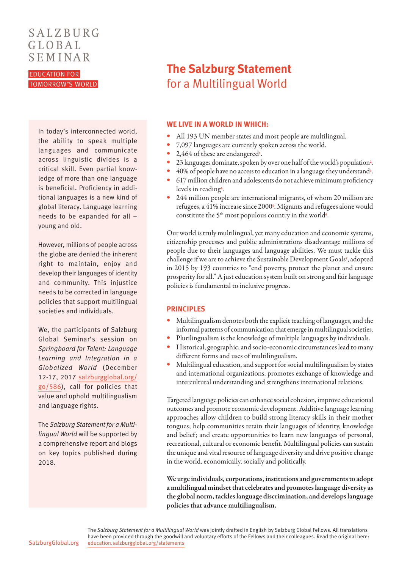## SALZBURG GLOBAL SEMINAR

**EDUCATION FOR TOMORROW'S WORLD** 

> In today's interconnected world, the ability to speak multiple languages and communicate across linguistic divides is a critical skill. Even partial knowledge of more than one language is beneficial. Proficiency in additional languages is a new kind of global literacy. Language learning needs to be expanded for all – young and old.

> However, millions of people across the globe are denied the inherent right to maintain, enjoy and develop their languages of identity and community. This injustice needs to be corrected in language policies that support multilingual societies and individuals.

> We, the participants of Salzburg Global Seminar's session on *Springboard for Talent: Language Learning and Integration in a Globalized World* (December 12-17, 2017 [salzburgglobal.org/](http://www.salzburgglobal.org/go/586) [go/586\)](http://www.salzburgglobal.org/go/586), call for policies that value and uphold multilingualism and language rights.

> The *Salzburg Statement for a Multilingual World* will be supported by a comprehensive report and blogs on key topics published during 2018.

# **The Salzburg Statement** for a Multilingual World

#### **WE LIVE IN A WORLD IN WHICH:**

- **•** All 193 UN member states and most people are multilingual.
- **•** 7,097 languages are currently spoken across the world.
- **•** 2,464 of these are endangered**[1](http://www.unesco.org/languages-atlas/)** .
- **•** 23 languages dominate, spoken by over one half of the world's population**[2](https://www.nature.com/articles/s41562-017-0085)** .
- **•** 40% of people have no access to education in a language they understand**[3](https://en.unesco.org/news/40-don-t-access-education-language-they-understand)** .
- **•** 617 million children and adolescents do not achieve minimum proficiency levels in reading**[4](https://en.unesco.org/news/617-million-children-and-adolescents-not-getting-minimum-reading-and-math)** .
- **•** 244 million people are international migrants, of whom 20 million are refugees, a 41% increase since 2000**[5](https://www.iom.int/world-migration-report-2015)** . Migrants and refugees alone would constitute the 5<sup>th</sup> most populous country in the world<sup>[6](http://www.populationconnection.org/article/fifth-largest-country/)</sup>.

Our world is truly multilingual, yet many education and economic systems, citizenship processes and public administrations disadvantage millions of people due to their languages and language abilities. We must tackle this challenge if we are to achieve the Sustainable Development Goals**[7](http://www.un.org/sustainabledevelopment/sustainable-development-goals/ )** , adopted in 2015 by 193 countries to "end poverty, protect the planet and ensure prosperity for all." A just education system built on strong and fair language policies is fundamental to inclusive progress.

#### **PRINCIPLES**

- **•** Multilingualism denotes both the explicit teaching of languages, and the informal patterns of communication that emerge in multilingual societies.
- **•** Plurilingualism is the knowledge of multiple languages by individuals.
- **•** Historical, geographic, and socio-economic circumstances lead to many different forms and uses of multilingualism.
- **•** Multilingual education, and support for social multilingualism by states and international organizations, promotes exchange of knowledge and intercultural understanding and strengthens international relations.

Targeted language policies can enhance social cohesion, improve educational outcomes and promote economic development. Additive language learning approaches allow children to build strong literacy skills in their mother tongues; help communities retain their languages of identity, knowledge and belief; and create opportunities to learn new languages of personal, recreational, cultural or economic benefit. Multilingual policies can sustain the unique and vital resource of language diversity and drive positive change in the world, economically, socially and politically.

We urge individuals, corporations, institutions and governments to adopt a multilingual mindset that celebrates and promotes language diversity as the global norm, tackles language discrimination, and develops language policies that advance multilingualism.

The *Salzburg Statement for a Multilingual World* was jointly drafted in English by Salzburg Global Fellows. All translations have been provided through the goodwill and voluntary efforts of the Fellows and their colleagues. Read the original here: [education.salzburgglobal.org/statements](http://education.salzburgglobal.org/statements)